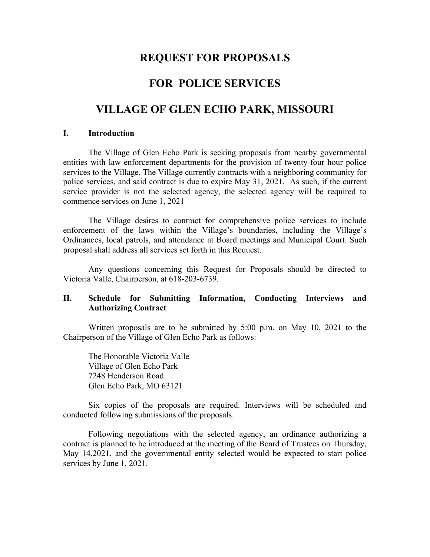# **REQUEST FOR PROPOSALS**

## **FOR POLICE SERVICES**

## **VILLAGE OF GLEN ECHO PARK, MISSOURI**

#### **I. Introduction**

The Village of Glen Echo Park is seeking proposals from nearby governmental entities with law enforcement departments for the provision of twenty-four hour police services to the Village. The Village currently contracts with a neighboring community for police services, and said contract is due to expire May 31, 2021. As such, if the current service provider is not the selected agency, the selected agency will be required to commence services on June 1, 2021

The Village desires to contract for comprehensive police services to include enforcement of the laws within the Village's boundaries, including the Village's Ordinances, local patrols, and attendance at Board meetings and Municipal Court. Such proposal shall address all services set forth in this Request.

Any questions concerning this Request for Proposals should be directed to Victoria Valle, Chairperson, at 618-203-6739.

### **II. Schedule for Submitting Information, Conducting Interviews and Authorizing Contract**

Written proposals are to be submitted by 5:00 p.m. on May 10, 2021 to the Chairperson of the Village of Glen Echo Park as follows:

The Honorable Victoria Valle Village of Glen Echo Park 7248 Henderson Road Glen Echo Park, MO 63121

Six copies of the proposals are required. Interviews will be scheduled and conducted following submissions of the proposals.

Following negotiations with the selected agency, an ordinance authorizing a contract is planned to be introduced at the meeting of the Board of Trustees on Thursday, May 14,2021, and the governmental entity selected would be expected to start police services by June 1, 2021.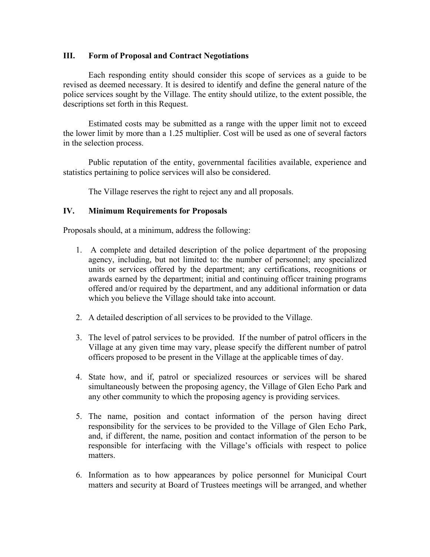### **III. Form of Proposal and Contract Negotiations**

Each responding entity should consider this scope of services as a guide to be revised as deemed necessary. It is desired to identify and define the general nature of the police services sought by the Village. The entity should utilize, to the extent possible, the descriptions set forth in this Request.

Estimated costs may be submitted as a range with the upper limit not to exceed the lower limit by more than a 1.25 multiplier. Cost will be used as one of several factors in the selection process.

Public reputation of the entity, governmental facilities available, experience and statistics pertaining to police services will also be considered.

The Village reserves the right to reject any and all proposals.

### **IV. Minimum Requirements for Proposals**

Proposals should, at a minimum, address the following:

- 1. A complete and detailed description of the police department of the proposing agency, including, but not limited to: the number of personnel; any specialized units or services offered by the department; any certifications, recognitions or awards earned by the department; initial and continuing officer training programs offered and/or required by the department, and any additional information or data which you believe the Village should take into account.
- 2. A detailed description of all services to be provided to the Village.
- 3. The level of patrol services to be provided. If the number of patrol officers in the Village at any given time may vary, please specify the different number of patrol officers proposed to be present in the Village at the applicable times of day.
- 4. State how, and if, patrol or specialized resources or services will be shared simultaneously between the proposing agency, the Village of Glen Echo Park and any other community to which the proposing agency is providing services.
- 5. The name, position and contact information of the person having direct responsibility for the services to be provided to the Village of Glen Echo Park, and, if different, the name, position and contact information of the person to be responsible for interfacing with the Village's officials with respect to police matters.
- 6. Information as to how appearances by police personnel for Municipal Court matters and security at Board of Trustees meetings will be arranged, and whether